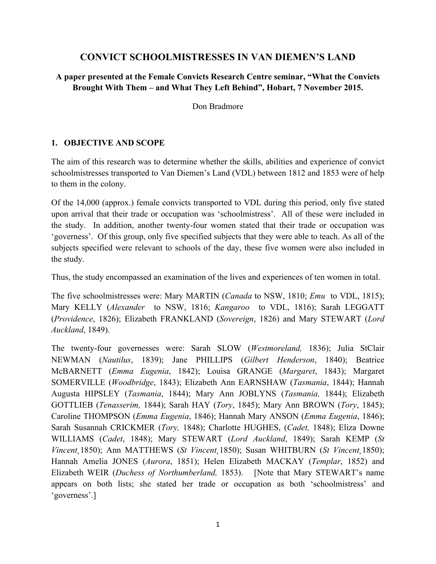# **CONVICT SCHOOLMISTRESSES IN VAN DIEMEN'S LAND**

# **A paper presented at the Female Convicts Research Centre seminar, "What the Convicts Brought With Them – and What They Left Behind", Hobart, 7 November 2015.**

Don Bradmore

### **1. OBJECTIVE AND SCOPE**

The aim of this research was to determine whether the skills, abilities and experience of convict schoolmistresses transported to Van Diemen's Land (VDL) between 1812 and 1853 were of help to them in the colony.

Of the 14,000 (approx.) female convicts transported to VDL during this period, only five stated upon arrival that their trade or occupation was 'schoolmistress'. All of these were included in the study. In addition, another twenty-four women stated that their trade or occupation was 'governess'. Of this group, only five specified subjects that they were able to teach. As all of the subjects specified were relevant to schools of the day, these five women were also included in the study.

Thus, the study encompassed an examination of the lives and experiences of ten women in total.

The five schoolmistresses were: Mary MARTIN (*Canada* to NSW, 1810; *Emu* to VDL, 1815); Mary KELLY (*Alexander* to NSW, 1816; *Kangaroo* to VDL, 1816); Sarah LEGGATT (*Providence*, 1826); Elizabeth FRANKLAND (*Sovereign*, 1826) and Mary STEWART (*Lord Auckland*, 1849).

The twenty-four governesses were: Sarah SLOW (*Westmoreland,* 1836); Julia StClair NEWMAN (*Nautilus*, 1839); Jane PHILLIPS (*Gilbert Henderson*, 1840); Beatrice McBARNETT (*Emma Eugenia*, 1842); Louisa GRANGE (*Margaret*, 1843); Margaret SOMERVILLE (*Woodbridge*, 1843); Elizabeth Ann EARNSHAW (*Tasmania*, 1844); Hannah Augusta HIPSLEY (*Tasmania*, 1844); Mary Ann JOBLYNS (*Tasmania,* 1844); Elizabeth GOTTLIEB (*Tenasserim,* 1844); Sarah HAY (*Tory*, 1845); Mary Ann BROWN (*Tory*, 1845); Caroline THOMPSON (*Emma Eugenia*, 1846); Hannah Mary ANSON (*Emma Eugenia*, 1846); Sarah Susannah CRICKMER (*Tory,* 1848); Charlotte HUGHES, (*Cadet,* 1848); Eliza Downe WILLIAMS (*Cadet*, 1848); Mary STEWART (*Lord Auckland*, 1849); Sarah KEMP (*St Vincent¸*1850); Ann MATTHEWS (*St Vincent¸*1850); Susan WHITBURN (*St Vincent¸*1850); Hannah Amelia JONES (*Aurora*, 1851); Helen Elizabeth MACKAY (*Templar*, 1852) and Elizabeth WEIR (*Duchess of Northumberland,* 1853). [Note that Mary STEWART's name appears on both lists; she stated her trade or occupation as both 'schoolmistress' and 'governess'.]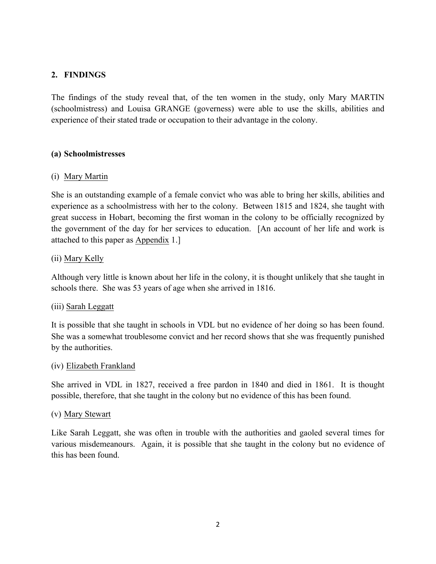# **2. FINDINGS**

The findings of the study reveal that, of the ten women in the study, only Mary MARTIN (schoolmistress) and Louisa GRANGE (governess) were able to use the skills, abilities and experience of their stated trade or occupation to their advantage in the colony.

### **(a) Schoolmistresses**

### (i) Mary Martin

She is an outstanding example of a female convict who was able to bring her skills, abilities and experience as a schoolmistress with her to the colony. Between 1815 and 1824, she taught with great success in Hobart, becoming the first woman in the colony to be officially recognized by the government of the day for her services to education. [An account of her life and work is attached to this paper as Appendix 1.]

### (ii) Mary Kelly

Although very little is known about her life in the colony, it is thought unlikely that she taught in schools there. She was 53 years of age when she arrived in 1816.

### (iii) Sarah Leggatt

It is possible that she taught in schools in VDL but no evidence of her doing so has been found. She was a somewhat troublesome convict and her record shows that she was frequently punished by the authorities.

### (iv) Elizabeth Frankland

She arrived in VDL in 1827, received a free pardon in 1840 and died in 1861. It is thought possible, therefore, that she taught in the colony but no evidence of this has been found.

### (v) Mary Stewart

Like Sarah Leggatt, she was often in trouble with the authorities and gaoled several times for various misdemeanours. Again, it is possible that she taught in the colony but no evidence of this has been found.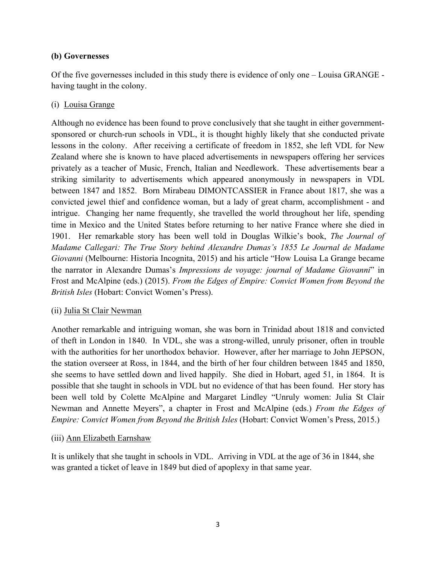## **(b) Governesses**

Of the five governesses included in this study there is evidence of only one – Louisa GRANGE having taught in the colony.

# (i) Louisa Grange

Although no evidence has been found to prove conclusively that she taught in either governmentsponsored or church-run schools in VDL, it is thought highly likely that she conducted private lessons in the colony. After receiving a certificate of freedom in 1852, she left VDL for New Zealand where she is known to have placed advertisements in newspapers offering her services privately as a teacher of Music, French, Italian and Needlework. These advertisements bear a striking similarity to advertisements which appeared anonymously in newspapers in VDL between 1847 and 1852. Born Mirabeau DIMONTCASSIER in France about 1817, she was a convicted jewel thief and confidence woman, but a lady of great charm, accomplishment - and intrigue. Changing her name frequently, she travelled the world throughout her life, spending time in Mexico and the United States before returning to her native France where she died in 1901. Her remarkable story has been well told in Douglas Wilkie's book, *The Journal of Madame Callegari: The True Story behind Alexandre Dumas's 1855 Le Journal de Madame Giovanni* (Melbourne: Historia Incognita, 2015) and his article "How Louisa La Grange became the narrator in Alexandre Dumas's *Impressions de voyage: journal of Madame Giovanni*" in Frost and McAlpine (eds.) (2015). *From the Edges of Empire: Convict Women from Beyond the British Isles* (Hobart: Convict Women's Press).

### (ii) Julia St Clair Newman

Another remarkable and intriguing woman, she was born in Trinidad about 1818 and convicted of theft in London in 1840. In VDL, she was a strong-willed, unruly prisoner, often in trouble with the authorities for her unorthodox behavior. However, after her marriage to John JEPSON, the station overseer at Ross, in 1844, and the birth of her four children between 1845 and 1850, she seems to have settled down and lived happily. She died in Hobart, aged 51, in 1864. It is possible that she taught in schools in VDL but no evidence of that has been found. Her story has been well told by Colette McAlpine and Margaret Lindley "Unruly women: Julia St Clair Newman and Annette Meyers", a chapter in Frost and McAlpine (eds.) *From the Edges of Empire: Convict Women from Beyond the British Isles* (Hobart: Convict Women's Press, 2015.)

# (iii) Ann Elizabeth Earnshaw

It is unlikely that she taught in schools in VDL. Arriving in VDL at the age of 36 in 1844, she was granted a ticket of leave in 1849 but died of apoplexy in that same year.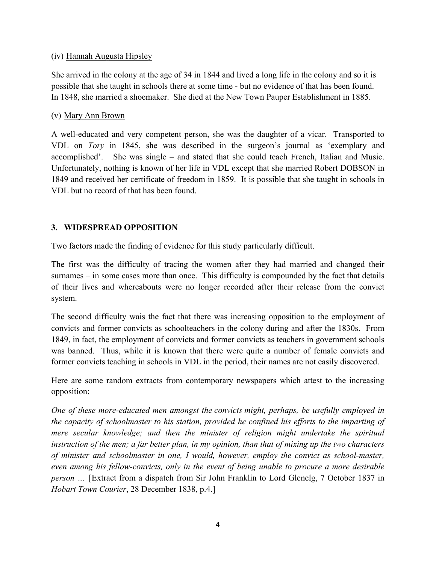### (iv) Hannah Augusta Hipsley

She arrived in the colony at the age of 34 in 1844 and lived a long life in the colony and so it is possible that she taught in schools there at some time - but no evidence of that has been found. In 1848, she married a shoemaker. She died at the New Town Pauper Establishment in 1885.

### (v) Mary Ann Brown

A well-educated and very competent person, she was the daughter of a vicar. Transported to VDL on *Tory* in 1845, she was described in the surgeon's journal as 'exemplary and accomplished'. She was single – and stated that she could teach French, Italian and Music. Unfortunately, nothing is known of her life in VDL except that she married Robert DOBSON in 1849 and received her certificate of freedom in 1859. It is possible that she taught in schools in VDL but no record of that has been found.

# **3. WIDESPREAD OPPOSITION**

Two factors made the finding of evidence for this study particularly difficult.

The first was the difficulty of tracing the women after they had married and changed their surnames – in some cases more than once. This difficulty is compounded by the fact that details of their lives and whereabouts were no longer recorded after their release from the convict system.

The second difficulty wais the fact that there was increasing opposition to the employment of convicts and former convicts as schoolteachers in the colony during and after the 1830s. From 1849, in fact, the employment of convicts and former convicts as teachers in government schools was banned. Thus, while it is known that there were quite a number of female convicts and former convicts teaching in schools in VDL in the period, their names are not easily discovered.

Here are some random extracts from contemporary newspapers which attest to the increasing opposition:

*One of these more-educated men amongst the convicts might, perhaps, be usefully employed in the capacity of schoolmaster to his station, provided he confined his efforts to the imparting of mere secular knowledge; and then the minister of religion might undertake the spiritual instruction of the men; a far better plan, in my opinion, than that of mixing up the two characters of minister and schoolmaster in one, I would, however, employ the convict as school-master, even among his fellow-convicts, only in the event of being unable to procure a more desirable person* ... [Extract from a dispatch from Sir John Franklin to Lord Glenelg, 7 October 1837 in *Hobart Town Courier*, 28 December 1838, p.4.]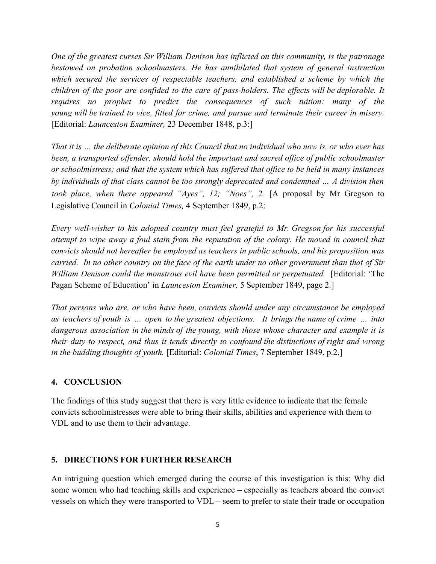*One of the greatest curses Sir William Denison has inflicted on this community, is the patronage bestowed on probation schoolmasters. He has annihilated that system of general instruction which secured the services of respectable teachers, and established a scheme by which the children of the poor are confided to the care of pass-holders. The effects will be deplorable. It requires no prophet to predict the consequences of such tuition: many of the young will be trained to vice, fitted for crime, and pursue and terminate their career in misery.*  [Editorial: *Launceston Examiner,* 23 December 1848, p.3:]

*That it is … the deliberate opinion of this Council that no individual who now is, or who ever has been, a transported offender, should hold the important and sacred office of public schoolmaster or schoolmistress; and that the system which has suffered that office to be held in many instances by individuals of that class cannot be too strongly deprecated and condemned … A division then took place, when there appeared "Ayes", 12; "Noes", 2.* [A proposal by Mr Gregson to Legislative Council in *Colonial Times,* 4 September 1849, p.2:

*Every well-wisher to his adopted country must feel grateful to Mr. Gregson for his successful attempt to wipe away a foul stain from the reputation of the colony. He moved in council that convicts should not hereafter be employed as teachers in public schools, and his proposition was carried. In no other country on the face of the earth under no other government than that of Sir William Denison could the monstrous evil have been permitted or perpetuated.* [Editorial: 'The Pagan Scheme of Education' in *Launceston Examiner,* 5 September 1849, page 2.]

*That persons who are, or who have been, convicts should under any circumstance be employed as teachers of youth is … open to the greatest objections. It brings the name of crime … into dangerous association in the minds of the young, with those whose character and example it is their duty to respect, and thus it tends directly to confound the distinctions of right and wrong in the budding thoughts of youth.* [Editorial: *Colonial Times*, 7 September 1849, p.2.]

### **4. CONCLUSION**

The findings of this study suggest that there is very little evidence to indicate that the female convicts schoolmistresses were able to bring their skills, abilities and experience with them to VDL and to use them to their advantage.

### **5. DIRECTIONS FOR FURTHER RESEARCH**

An intriguing question which emerged during the course of this investigation is this: Why did some women who had teaching skills and experience – especially as teachers aboard the convict vessels on which they were transported to VDL – seem to prefer to state their trade or occupation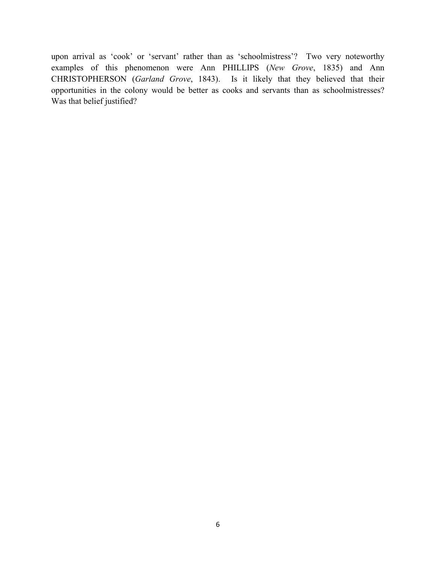upon arrival as 'cook' or 'servant' rather than as 'schoolmistress'? Two very noteworthy examples of this phenomenon were Ann PHILLIPS (*New Grove*, 1835) and Ann CHRISTOPHERSON (*Garland Grove*, 1843). Is it likely that they believed that their opportunities in the colony would be better as cooks and servants than as schoolmistresses? Was that belief justified?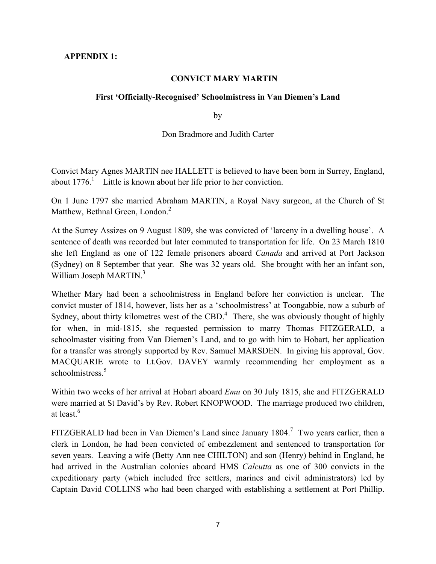### **APPENDIX 1:**

#### **CONVICT MARY MARTIN**

#### **First 'Officially-Recognised' Schoolmistress in Van Diemen's Land**

by

#### Don Bradmore and Judith Carter

Convict Mary Agnes MARTIN nee HALLETT is believed to have been born in Surrey, England, about  $1776$ <sup>1</sup> Little is known about her life prior to her conviction.

On 1 June 1797 she married Abraham MARTIN, a Royal Navy surgeon, at the Church of St Matthew, Bethnal Green, London.<sup>2</sup>

At the Surrey Assizes on 9 August 1809, she was convicted of 'larceny in a dwelling house'. A sentence of death was recorded but later commuted to transportation for life. On 23 March 1810 she left England as one of 122 female prisoners aboard *Canada* and arrived at Port Jackson (Sydney) on 8 September that year*.* She was 32 years old. She brought with her an infant son, William Joseph MARTIN.<sup>3</sup>

Whether Mary had been a schoolmistress in England before her conviction is unclear. The convict muster of 1814, however, lists her as a 'schoolmistress' at Toongabbie, now a suburb of Sydney, about thirty kilometres west of the CBD.<sup>4</sup> There, she was obviously thought of highly for when, in mid-1815, she requested permission to marry Thomas FITZGERALD, a schoolmaster visiting from Van Diemen's Land, and to go with him to Hobart, her application for a transfer was strongly supported by Rev. Samuel MARSDEN. In giving his approval, Gov. MACQUARIE wrote to Lt.Gov. DAVEY warmly recommending her employment as a schoolmistress.<sup>5</sup>

Within two weeks of her arrival at Hobart aboard *Emu* on 30 July 1815, she and FITZGERALD were married at St David's by Rev. Robert KNOPWOOD. The marriage produced two children, at least. 6

FITZGERALD had been in Van Diemen's Land since January 1804.<sup>7</sup> Two years earlier, then a clerk in London, he had been convicted of embezzlement and sentenced to transportation for seven years. Leaving a wife (Betty Ann nee CHILTON) and son (Henry) behind in England, he had arrived in the Australian colonies aboard HMS *Calcutta* as one of 300 convicts in the expeditionary party (which included free settlers, marines and civil administrators) led by Captain David COLLINS who had been charged with establishing a settlement at Port Phillip.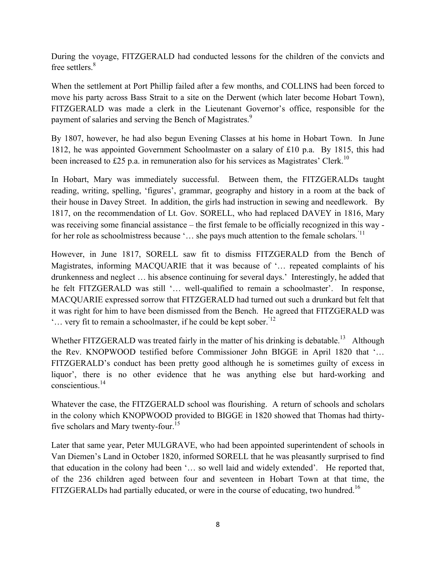During the voyage, FITZGERALD had conducted lessons for the children of the convicts and free settlers.<sup>8</sup>

When the settlement at Port Phillip failed after a few months, and COLLINS had been forced to move his party across Bass Strait to a site on the Derwent (which later become Hobart Town), FITZGERALD was made a clerk in the Lieutenant Governor's office, responsible for the payment of salaries and serving the Bench of Magistrates.<sup>9</sup>

By 1807, however, he had also begun Evening Classes at his home in Hobart Town. In June 1812, he was appointed Government Schoolmaster on a salary of £10 p.a. By 1815, this had been increased to £25 p.a. in remuneration also for his services as Magistrates' Clerk.<sup>10</sup>

In Hobart, Mary was immediately successful. Between them, the FITZGERALDs taught reading, writing, spelling, 'figures', grammar, geography and history in a room at the back of their house in Davey Street. In addition, the girls had instruction in sewing and needlework. By 1817, on the recommendation of Lt. Gov. SORELL, who had replaced DAVEY in 1816, Mary was receiving some financial assistance – the first female to be officially recognized in this way for her role as schoolmistress because '... she pays much attention to the female scholars.<sup>'11</sup>

However, in June 1817, SORELL saw fit to dismiss FITZGERALD from the Bench of Magistrates, informing MACQUARIE that it was because of '… repeated complaints of his drunkenness and neglect … his absence continuing for several days.' Interestingly, he added that he felt FITZGERALD was still '… well-qualified to remain a schoolmaster'. In response, MACQUARIE expressed sorrow that FITZGERALD had turned out such a drunkard but felt that it was right for him to have been dismissed from the Bench. He agreed that FITZGERALD was "... very fit to remain a schoolmaster, if he could be kept sober.<sup>'12</sup>

Whether FITZGERALD was treated fairly in the matter of his drinking is debatable.<sup>13</sup> Although the Rev. KNOPWOOD testified before Commissioner John BIGGE in April 1820 that '… FITZGERALD's conduct has been pretty good although he is sometimes guilty of excess in liquor', there is no other evidence that he was anything else but hard-working and conscientious.<sup>14</sup>

Whatever the case, the FITZGERALD school was flourishing. A return of schools and scholars in the colony which KNOPWOOD provided to BIGGE in 1820 showed that Thomas had thirtyfive scholars and Mary twenty-four.<sup>15</sup>

Later that same year, Peter MULGRAVE, who had been appointed superintendent of schools in Van Diemen's Land in October 1820, informed SORELL that he was pleasantly surprised to find that education in the colony had been '… so well laid and widely extended'. He reported that, of the 236 children aged between four and seventeen in Hobart Town at that time, the FITZGERALDs had partially educated, or were in the course of educating, two hundred.<sup>16</sup>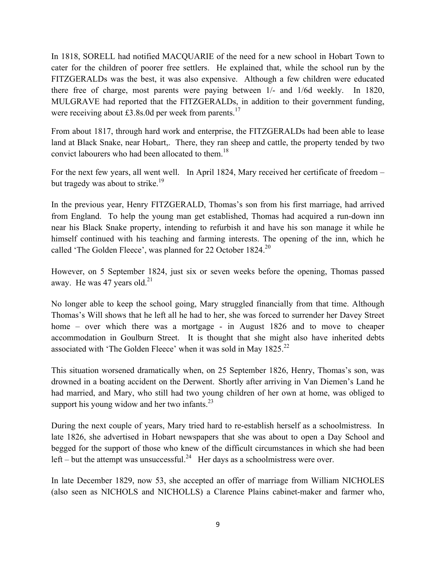In 1818, SORELL had notified MACQUARIE of the need for a new school in Hobart Town to cater for the children of poorer free settlers. He explained that, while the school run by the FITZGERALDs was the best, it was also expensive. Although a few children were educated there free of charge, most parents were paying between 1/- and 1/6d weekly. In 1820, MULGRAVE had reported that the FITZGERALDs, in addition to their government funding, were receiving about £3.8s.0d per week from parents.<sup>17</sup>

From about 1817, through hard work and enterprise, the FITZGERALDs had been able to lease land at Black Snake, near Hobart,. There, they ran sheep and cattle, the property tended by two convict labourers who had been allocated to them.18

For the next few years, all went well. In April 1824, Mary received her certificate of freedom – but tragedy was about to strike.<sup>19</sup>

In the previous year, Henry FITZGERALD, Thomas's son from his first marriage, had arrived from England. To help the young man get established, Thomas had acquired a run-down inn near his Black Snake property, intending to refurbish it and have his son manage it while he himself continued with his teaching and farming interests. The opening of the inn, which he called 'The Golden Fleece', was planned for 22 October 1824.<sup>20</sup>

However, on 5 September 1824, just six or seven weeks before the opening, Thomas passed away. He was 47 years old. $21$ 

No longer able to keep the school going, Mary struggled financially from that time. Although Thomas's Will shows that he left all he had to her, she was forced to surrender her Davey Street home – over which there was a mortgage - in August 1826 and to move to cheaper accommodation in Goulburn Street. It is thought that she might also have inherited debts associated with 'The Golden Fleece' when it was sold in May 1825.<sup>22</sup>

This situation worsened dramatically when, on 25 September 1826, Henry, Thomas's son, was drowned in a boating accident on the Derwent. Shortly after arriving in Van Diemen's Land he had married, and Mary, who still had two young children of her own at home, was obliged to support his young widow and her two infants.<sup>23</sup>

During the next couple of years, Mary tried hard to re-establish herself as a schoolmistress. In late 1826, she advertised in Hobart newspapers that she was about to open a Day School and begged for the support of those who knew of the difficult circumstances in which she had been left – but the attempt was unsuccessful.<sup>24</sup> Her days as a schoolmistress were over.

In late December 1829, now 53, she accepted an offer of marriage from William NICHOLES (also seen as NICHOLS and NICHOLLS) a Clarence Plains cabinet-maker and farmer who,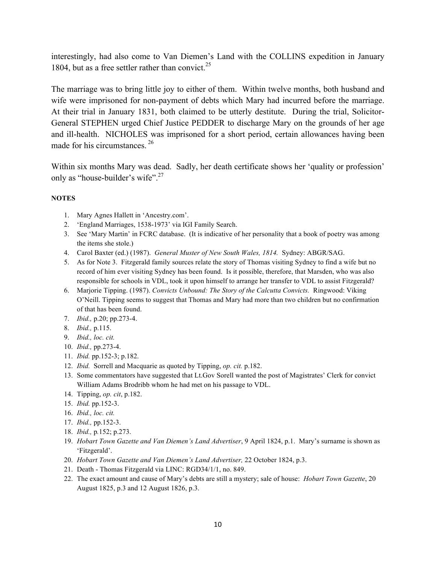interestingly, had also come to Van Diemen's Land with the COLLINS expedition in January 1804, but as a free settler rather than convict.<sup>25</sup>

The marriage was to bring little joy to either of them. Within twelve months, both husband and wife were imprisoned for non-payment of debts which Mary had incurred before the marriage. At their trial in January 1831, both claimed to be utterly destitute. During the trial, Solicitor-General STEPHEN urged Chief Justice PEDDER to discharge Mary on the grounds of her age and ill-health. NICHOLES was imprisoned for a short period, certain allowances having been made for his circumstances. <sup>26</sup>

Within six months Mary was dead. Sadly, her death certificate shows her 'quality or profession' only as "house-builder's wife".<sup>27</sup>

#### **NOTES**

- 1. Mary Agnes Hallett in 'Ancestry.com'.
- 2. 'England Marriages, 1538-1973' via IGI Family Search.
- 3. See 'Mary Martin' in FCRC database. (It is indicative of her personality that a book of poetry was among the items she stole.)
- 4. Carol Baxter (ed.) (1987). *General Muster of New South Wales, 1814.* Sydney: ABGR/SAG.
- 5. As for Note 3. Fitzgerald family sources relate the story of Thomas visiting Sydney to find a wife but no record of him ever visiting Sydney has been found. Is it possible, therefore, that Marsden, who was also responsible for schools in VDL, took it upon himself to arrange her transfer to VDL to assist Fitzgerald?
- 6. Marjorie Tipping. (1987). *Convicts Unbound: The Story of the Calcutta Convicts.* Ringwood: Viking O'Neill. Tipping seems to suggest that Thomas and Mary had more than two children but no confirmation of that has been found.
- 7. *Ibid.,* p.20; pp.273-4.
- 8. *Ibid.,* p.115.
- 9. *Ibid., loc. cit.*
- 10. *Ibid.,* pp.273-4.
- 11. *Ibid.* pp.152-3; p.182.
- 12. *Ibid.* Sorrell and Macquarie as quoted by Tipping, *op. cit.* p.182.
- 13. Some commentators have suggested that Lt.Gov Sorell wanted the post of Magistrates' Clerk for convict William Adams Brodribb whom he had met on his passage to VDL.
- 14. Tipping, *op. cit*, p.182.
- 15. *Ibid.* pp.152-3.
- 16. *Ibid., loc. cit.*
- 17. *Ibid.,* pp.152-3.
- 18. *Ibid.,* p*.*152; p.273.
- 19. *Hobart Town Gazette and Van Diemen's Land Advertiser*, 9 April 1824, p.1. Mary's surname is shown as 'Fitzgerald'.
- 20. *Hobart Town Gazette and Van Diemen's Land Advertiser,* 22 October 1824, p.3.
- 21. Death Thomas Fitzgerald via LINC: RGD34/1/1, no. 849.
- 22. The exact amount and cause of Mary's debts are still a mystery; sale of house: *Hobart Town Gazette*, 20 August 1825, p.3 and 12 August 1826, p.3.